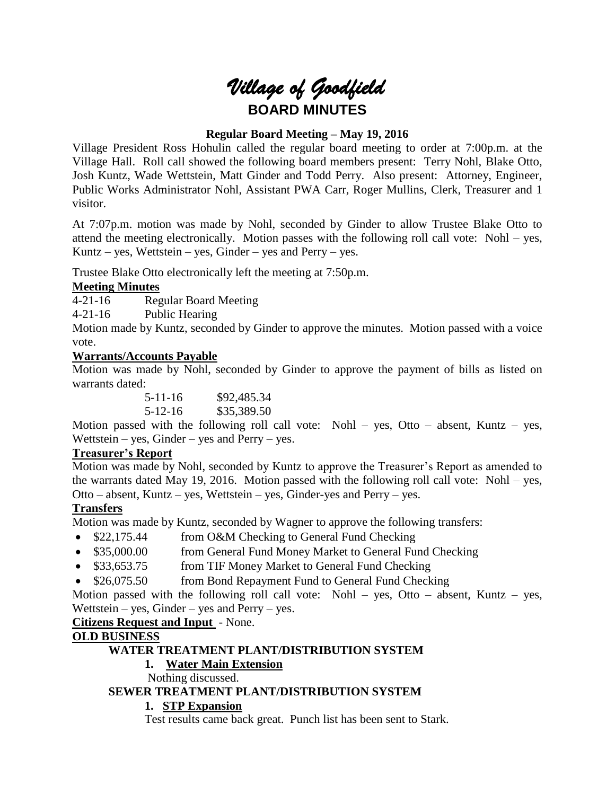

## **Regular Board Meeting – May 19, 2016**

Village President Ross Hohulin called the regular board meeting to order at 7:00p.m. at the Village Hall. Roll call showed the following board members present: Terry Nohl, Blake Otto, Josh Kuntz, Wade Wettstein, Matt Ginder and Todd Perry. Also present: Attorney, Engineer, Public Works Administrator Nohl, Assistant PWA Carr, Roger Mullins, Clerk, Treasurer and 1 visitor.

At 7:07p.m. motion was made by Nohl, seconded by Ginder to allow Trustee Blake Otto to attend the meeting electronically. Motion passes with the following roll call vote: Nohl – yes, Kuntz – yes, Wettstein – yes, Ginder – yes and Perry – yes.

Trustee Blake Otto electronically left the meeting at 7:50p.m.

# **Meeting Minutes**

4-21-16 Regular Board Meeting

4-21-16 Public Hearing

Motion made by Kuntz, seconded by Ginder to approve the minutes. Motion passed with a voice vote.

## **Warrants/Accounts Payable**

Motion was made by Nohl, seconded by Ginder to approve the payment of bills as listed on warrants dated:

> 5-11-16 \$92,485.34 5-12-16 \$35,389.50

Motion passed with the following roll call vote: Nohl – yes, Otto – absent, Kuntz – yes, Wettstein – yes, Ginder – yes and Perry – yes.

## **Treasurer's Report**

Motion was made by Nohl, seconded by Kuntz to approve the Treasurer's Report as amended to the warrants dated May 19, 2016. Motion passed with the following roll call vote: Nohl – yes, Otto – absent, Kuntz – yes, Wettstein – yes, Ginder-yes and Perry – yes.

## **Transfers**

Motion was made by Kuntz, seconded by Wagner to approve the following transfers:

- \$22,175.44 from O&M Checking to General Fund Checking
- \$35,000.00 from General Fund Money Market to General Fund Checking
- \$33,653.75 from TIF Money Market to General Fund Checking
- \$26,075.50 from Bond Repayment Fund to General Fund Checking

Motion passed with the following roll call vote: Nohl – yes, Otto – absent, Kuntz – yes, Wettstein – yes, Ginder – yes and Perry – yes.

**Citizens Request and Input** - None.

# **OLD BUSINESS**

## **WATER TREATMENT PLANT/DISTRIBUTION SYSTEM**

# **1. Water Main Extension**

Nothing discussed.

## **SEWER TREATMENT PLANT/DISTRIBUTION SYSTEM**

## **1. STP Expansion**

Test results came back great. Punch list has been sent to Stark.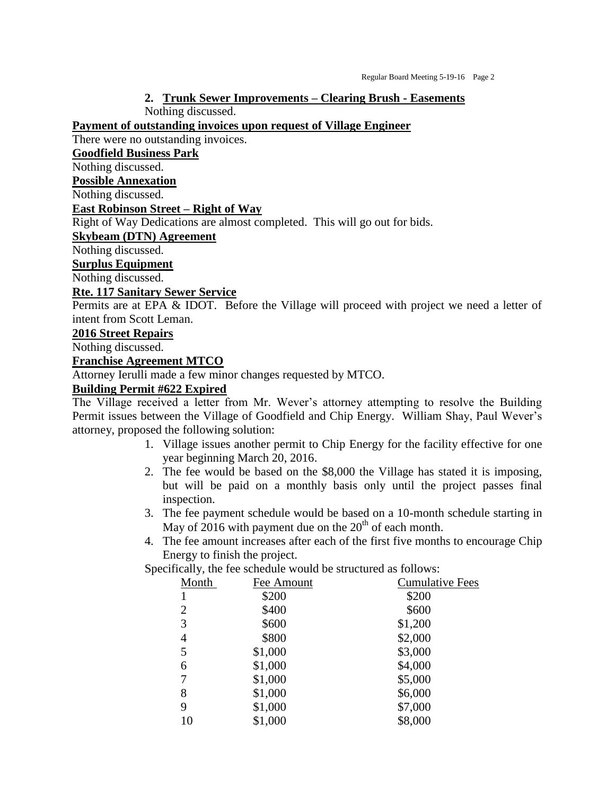#### **2. Trunk Sewer Improvements – Clearing Brush - Easements** Nothing discussed.

**Payment of outstanding invoices upon request of Village Engineer**

There were no outstanding invoices.

#### **Goodfield Business Park**

Nothing discussed.

#### **Possible Annexation**

Nothing discussed.

### **East Robinson Street – Right of Way**

Right of Way Dedications are almost completed. This will go out for bids.

#### **Skybeam (DTN) Agreement**

Nothing discussed.

**Surplus Equipment**

Nothing discussed.

### **Rte. 117 Sanitary Sewer Service**

Permits are at EPA & IDOT. Before the Village will proceed with project we need a letter of intent from Scott Leman.

### **2016 Street Repairs**

Nothing discussed.

### **Franchise Agreement MTCO**

Attorney Ierulli made a few minor changes requested by MTCO.

# **Building Permit #622 Expired**

The Village received a letter from Mr. Wever's attorney attempting to resolve the Building Permit issues between the Village of Goodfield and Chip Energy. William Shay, Paul Wever's attorney, proposed the following solution:

- 1. Village issues another permit to Chip Energy for the facility effective for one year beginning March 20, 2016.
- 2. The fee would be based on the \$8,000 the Village has stated it is imposing, but will be paid on a monthly basis only until the project passes final inspection.
- 3. The fee payment schedule would be based on a 10-month schedule starting in May of  $2016$  with payment due on the  $20<sup>th</sup>$  of each month.
- 4. The fee amount increases after each of the first five months to encourage Chip Energy to finish the project.

Specifically, the fee schedule would be structured as follows:

| Month | Fee Amount | <b>Cumulative Fees</b> |
|-------|------------|------------------------|
|       | \$200      | \$200                  |
| 2     | \$400      | \$600                  |
| 3     | \$600      | \$1,200                |
| 4     | \$800      | \$2,000                |
| 5     | \$1,000    | \$3,000                |
| 6     | \$1,000    | \$4,000                |
| 7     | \$1,000    | \$5,000                |
| 8     | \$1,000    | \$6,000                |
| 9     | \$1,000    | \$7,000                |
| 10    | \$1,000    | \$8,000                |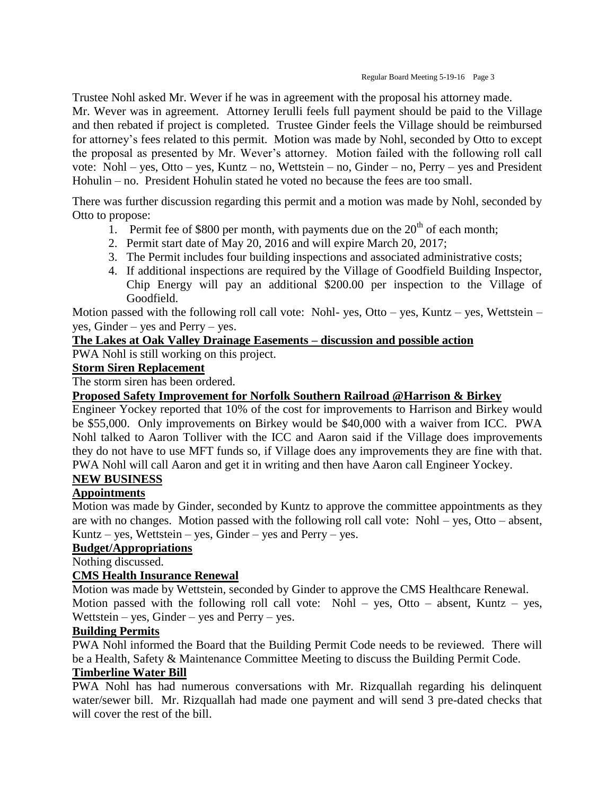Trustee Nohl asked Mr. Wever if he was in agreement with the proposal his attorney made. Mr. Wever was in agreement. Attorney Ierulli feels full payment should be paid to the Village and then rebated if project is completed. Trustee Ginder feels the Village should be reimbursed for attorney's fees related to this permit. Motion was made by Nohl, seconded by Otto to except the proposal as presented by Mr. Wever's attorney. Motion failed with the following roll call vote: Nohl – yes, Otto – yes, Kuntz – no, Wettstein – no, Ginder – no, Perry – yes and President Hohulin – no. President Hohulin stated he voted no because the fees are too small.

There was further discussion regarding this permit and a motion was made by Nohl, seconded by Otto to propose:

- 1. Permit fee of \$800 per month, with payments due on the  $20<sup>th</sup>$  of each month;
- 2. Permit start date of May 20, 2016 and will expire March 20, 2017;
- 3. The Permit includes four building inspections and associated administrative costs;
- 4. If additional inspections are required by the Village of Goodfield Building Inspector, Chip Energy will pay an additional \$200.00 per inspection to the Village of Goodfield.

Motion passed with the following roll call vote: Nohl- yes, Otto – yes, Kuntz – yes, Wettstein – yes, Ginder – yes and Perry – yes.

# **The Lakes at Oak Valley Drainage Easements – discussion and possible action**

PWA Nohl is still working on this project.

# **Storm Siren Replacement**

The storm siren has been ordered.

# **Proposed Safety Improvement for Norfolk Southern Railroad @Harrison & Birkey**

Engineer Yockey reported that 10% of the cost for improvements to Harrison and Birkey would be \$55,000. Only improvements on Birkey would be \$40,000 with a waiver from ICC. PWA Nohl talked to Aaron Tolliver with the ICC and Aaron said if the Village does improvements they do not have to use MFT funds so, if Village does any improvements they are fine with that. PWA Nohl will call Aaron and get it in writing and then have Aaron call Engineer Yockey.

# **NEW BUSINESS**

# **Appointments**

Motion was made by Ginder, seconded by Kuntz to approve the committee appointments as they are with no changes. Motion passed with the following roll call vote: Nohl – yes, Otto – absent, Kuntz – yes, Wettstein – yes, Ginder – yes and Perry – yes.

## **Budget/Appropriations**

Nothing discussed.

## **CMS Health Insurance Renewal**

Motion was made by Wettstein, seconded by Ginder to approve the CMS Healthcare Renewal. Motion passed with the following roll call vote: Nohl – yes, Otto – absent, Kuntz – yes, Wettstein – yes, Ginder – yes and Perry – yes.

# **Building Permits**

PWA Nohl informed the Board that the Building Permit Code needs to be reviewed. There will be a Health, Safety & Maintenance Committee Meeting to discuss the Building Permit Code.

## **Timberline Water Bill**

PWA Nohl has had numerous conversations with Mr. Rizquallah regarding his delinquent water/sewer bill. Mr. Rizquallah had made one payment and will send 3 pre-dated checks that will cover the rest of the bill.